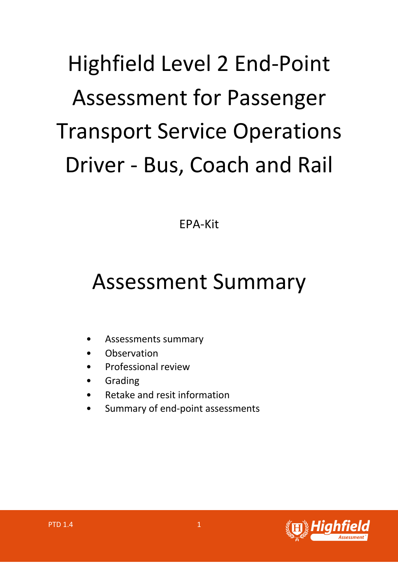# Highfield Level 2 End-Point Assessment for Passenger Transport Service Operations Driver - Bus, Coach and Rail

EPA-Kit

# Assessment Summary

- Assessments summary
- **Observation**
- Professional review
- **Grading**
- Retake and resit information
- Summary of end-point assessments

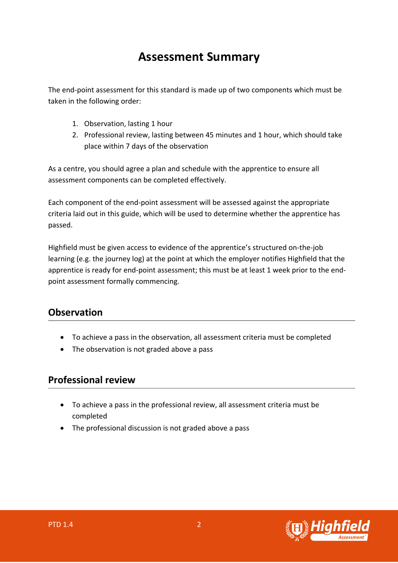## **Assessment Summary**

The end-point assessment for this standard is made up of two components which must be taken in the following order:

- 1. Observation, lasting 1 hour
- 2. Professional review, lasting between 45 minutes and 1 hour, which should take place within 7 days of the observation

As a centre, you should agree a plan and schedule with the apprentice to ensure all assessment components can be completed effectively.

Each component of the end-point assessment will be assessed against the appropriate criteria laid out in this guide, which will be used to determine whether the apprentice has passed.

Highfield must be given access to evidence of the apprentice's structured on-the-job learning (e.g. the journey log) at the point at which the employer notifies Highfield that the apprentice is ready for end-point assessment; this must be at least 1 week prior to the endpoint assessment formally commencing.

#### **Observation**

- To achieve a pass in the observation, all assessment criteria must be completed
- The observation is not graded above a pass

#### **Professional review**

- To achieve a pass in the professional review, all assessment criteria must be completed
- The professional discussion is not graded above a pass

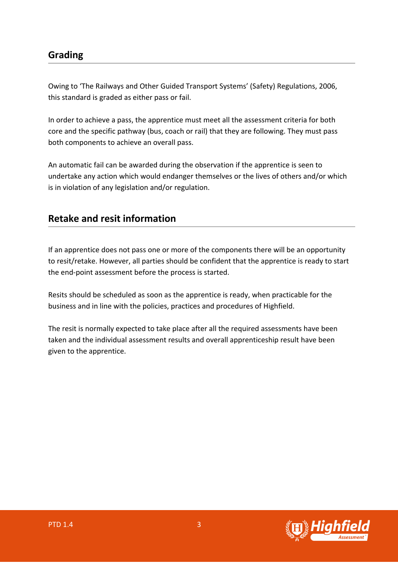#### **Grading**

Owing to 'The Railways and Other Guided Transport Systems' (Safety) Regulations, 2006, this standard is graded as either pass or fail.

In order to achieve a pass, the apprentice must meet all the assessment criteria for both core and the specific pathway (bus, coach or rail) that they are following. They must pass both components to achieve an overall pass.

An automatic fail can be awarded during the observation if the apprentice is seen to undertake any action which would endanger themselves or the lives of others and/or which is in violation of any legislation and/or regulation.

#### **Retake and resit information**

If an apprentice does not pass one or more of the components there will be an opportunity to resit/retake. However, all parties should be confident that the apprentice is ready to start the end-point assessment before the process is started.

Resits should be scheduled as soon as the apprentice is ready, when practicable for the business and in line with the policies, practices and procedures of Highfield.

The resit is normally expected to take place after all the required assessments have been taken and the individual assessment results and overall apprenticeship result have been given to the apprentice.